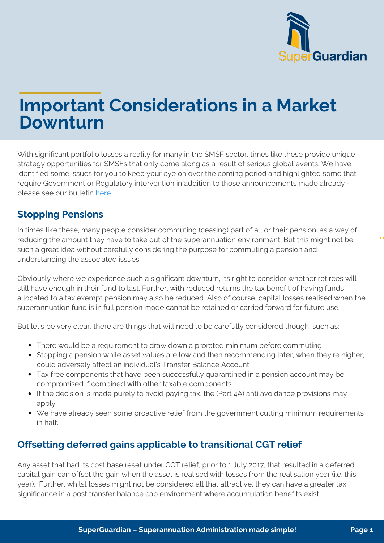

# **Important Considerations in a Market Downturn**

With significant portfolio losses a reality for many in the SMSF sector, times like these provide unique strategy opportunities for SMSFs that only come along as a result of serious global events. We have identified some issues for you to keep your eye on over the coming period and highlighted some that require Government or Regulatory intervention in addition to those announcements made already please see our bulletin [here.](https://www.superguardian.com.au/pdfs/Early-Access-to-Super.pdf)

## **Stopping Pensions**

In times like these, many people consider commuting (ceasing) part of all or their pension, as a way of reducing the amount they have to take out of the superannuation environment. But this might not be such a great idea without carefully considering the purpose for commuting a pension and understanding the associated issues.

Obviously where we experience such a significant downturn, its right to consider whether retirees will still have enough in their fund to last. Further, with reduced returns the tax benefit of having funds allocated to a tax exempt pension may also be reduced. Also of course, capital losses realised when the superannuation fund is in full pension mode cannot be retained or carried forward for future use.

But let's be very clear, there are things that will need to be carefully considered though, such as:

- There would be a requirement to draw down a prorated minimum before commuting
- Stopping a pension while asset values are low and then recommencing later, when they're higher, could adversely affect an individual's Transfer Balance Account
- Tax free components that have been successfully quarantined in a pension account may be compromised if combined with other taxable components
- If the decision is made purely to avoid paying tax, the (Part 4A) anti avoidance provisions may apply
- We have already seen some proactive relief from the government cutting minimum requirements in half.

## **Offsetting deferred gains applicable to transitional CGT relief**

Any asset that had its cost base reset under CGT relief, prior to 1 July 2017, that resulted in a deferred capital gain can offset the gain when the asset is realised with losses from the realisation year (i.e. this year). Further, whilst losses might not be considered all that attractive, they can have a greater tax significance in a post transfer balance cap environment where accumulation benefits exist.